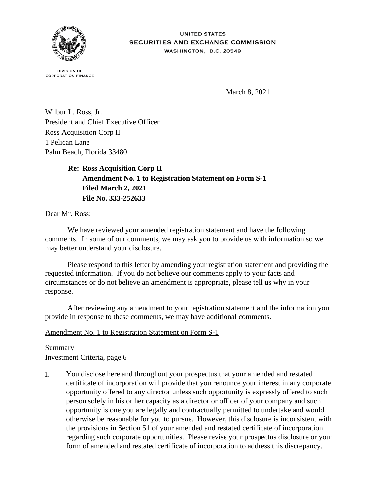

**UNITED STATES** SECURITIES AND EXCHANGE COMMISSION WASHINGTON, D.C. 20549

**DIVISION OF CORPORATION FINANCE** 

March 8, 2021

Wilbur L. Ross, Jr. President and Chief Executive Officer Ross Acquisition Corp II 1 Pelican Lane Palm Beach, Florida 33480

> **Re: Ross Acquisition Corp II Amendment No. 1 to Registration Statement on Form S-1 Filed March 2, 2021 File No. 333-252633**

Dear Mr. Ross:

 We have reviewed your amended registration statement and have the following comments. In some of our comments, we may ask you to provide us with information so we may better understand your disclosure.

 Please respond to this letter by amending your registration statement and providing the requested information. If you do not believe our comments apply to your facts and circumstances or do not believe an amendment is appropriate, please tell us why in your response.

 After reviewing any amendment to your registration statement and the information you provide in response to these comments, we may have additional comments.

## Amendment No. 1 to Registration Statement on Form S-1

## Summary

Investment Criteria, page 6

1. You disclose here and throughout your prospectus that your amended and restated certificate of incorporation will provide that you renounce your interest in any corporate opportunity offered to any director unless such opportunity is expressly offered to such person solely in his or her capacity as a director or officer of your company and such opportunity is one you are legally and contractually permitted to undertake and would otherwise be reasonable for you to pursue. However, this disclosure is inconsistent with the provisions in Section 51 of your amended and restated certificate of incorporation regarding such corporate opportunities. Please revise your prospectus disclosure or your form of amended and restated certificate of incorporation to address this discrepancy.